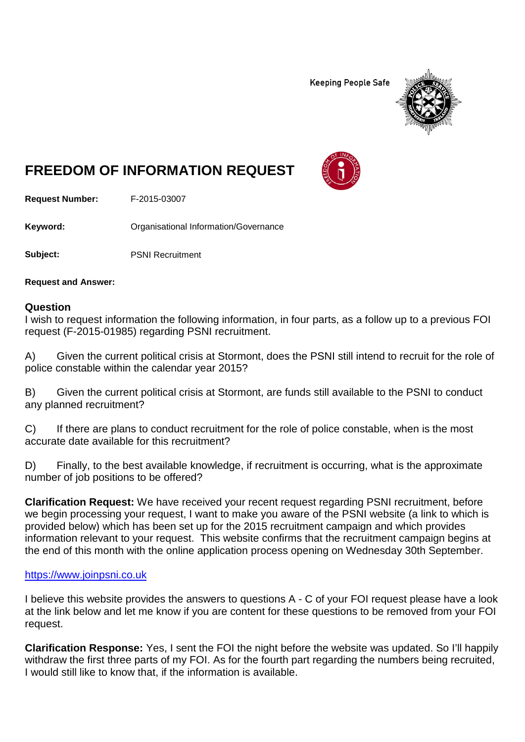**Keeping People Safe** 



# **FREEDOM OF INFORMATION REQUEST**

**Request Number:** F-2015-03007

Keyword: **Calcular Communists** Organisational Information/Governance

**Subject:** PSNI Recruitment

**Request and Answer:**

#### **Question**

I wish to request information the following information, in four parts, as a follow up to a previous FOI request (F-2015-01985) regarding PSNI recruitment.

A) Given the current political crisis at Stormont, does the PSNI still intend to recruit for the role of police constable within the calendar year 2015?

B) Given the current political crisis at Stormont, are funds still available to the PSNI to conduct any planned recruitment?

C) If there are plans to conduct recruitment for the role of police constable, when is the most accurate date available for this recruitment?

D) Finally, to the best available knowledge, if recruitment is occurring, what is the approximate number of job positions to be offered?

**Clarification Request:** We have received your recent request regarding PSNI recruitment, before we begin processing your request, I want to make you aware of the PSNI website (a link to which is provided below) which has been set up for the 2015 recruitment campaign and which provides information relevant to your request. This website confirms that the recruitment campaign begins at the end of this month with the online application process opening on Wednesday 30th September.

#### [https://www.joinpsni.co.uk](https://www.joinpsni.co.uk/)

I believe this website provides the answers to questions A - C of your FOI request please have a look at the link below and let me know if you are content for these questions to be removed from your FOI request.

**Clarification Response:** Yes, I sent the FOI the night before the website was updated. So I'll happily withdraw the first three parts of my FOI. As for the fourth part regarding the numbers being recruited, I would still like to know that, if the information is available.